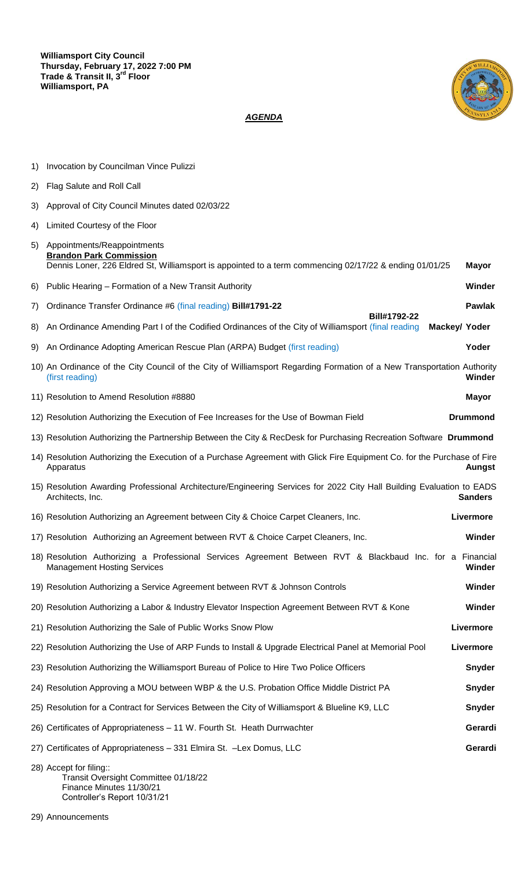

## *AGENDA*

| 1)                                                                                                                | Invocation by Councilman Vince Pulizzi                                                                                                                                  |                 |  |  |
|-------------------------------------------------------------------------------------------------------------------|-------------------------------------------------------------------------------------------------------------------------------------------------------------------------|-----------------|--|--|
| 2)                                                                                                                | Flag Salute and Roll Call                                                                                                                                               |                 |  |  |
| 3)                                                                                                                | Approval of City Council Minutes dated 02/03/22                                                                                                                         |                 |  |  |
| 4)                                                                                                                | Limited Courtesy of the Floor                                                                                                                                           |                 |  |  |
| 5)                                                                                                                | Appointments/Reappointments<br><b>Brandon Park Commission</b><br>Dennis Loner, 226 Eldred St, Williamsport is appointed to a term commencing 02/17/22 & ending 01/01/25 | <b>Mayor</b>    |  |  |
| 6)                                                                                                                | Public Hearing - Formation of a New Transit Authority                                                                                                                   | Winder          |  |  |
| 7)                                                                                                                | Ordinance Transfer Ordinance #6 (final reading) Bill#1791-22<br>Bill#1792-22                                                                                            | <b>Pawlak</b>   |  |  |
| 8)                                                                                                                | An Ordinance Amending Part I of the Codified Ordinances of the City of Williamsport (final reading                                                                      | Mackey/ Yoder   |  |  |
| 9)                                                                                                                | An Ordinance Adopting American Rescue Plan (ARPA) Budget (first reading)                                                                                                | Yoder           |  |  |
|                                                                                                                   | 10) An Ordinance of the City Council of the City of Williamsport Regarding Formation of a New Transportation Authority<br>(first reading)                               | Winder          |  |  |
|                                                                                                                   | 11) Resolution to Amend Resolution #8880                                                                                                                                | <b>Mayor</b>    |  |  |
|                                                                                                                   | 12) Resolution Authorizing the Execution of Fee Increases for the Use of Bowman Field                                                                                   | <b>Drummond</b> |  |  |
| 13) Resolution Authorizing the Partnership Between the City & RecDesk for Purchasing Recreation Software Drummond |                                                                                                                                                                         |                 |  |  |
|                                                                                                                   | 14) Resolution Authorizing the Execution of a Purchase Agreement with Glick Fire Equipment Co. for the Purchase of Fire<br>Apparatus                                    | <b>Aungst</b>   |  |  |
|                                                                                                                   | 15) Resolution Awarding Professional Architecture/Engineering Services for 2022 City Hall Building Evaluation to EADS<br>Architects, Inc.                               | <b>Sanders</b>  |  |  |
|                                                                                                                   | 16) Resolution Authorizing an Agreement between City & Choice Carpet Cleaners, Inc.                                                                                     | Livermore       |  |  |
|                                                                                                                   | 17) Resolution Authorizing an Agreement between RVT & Choice Carpet Cleaners, Inc.                                                                                      | Winder          |  |  |
|                                                                                                                   | 18) Resolution Authorizing a Professional Services Agreement Between RVT & Blackbaud Inc. for a Financial<br><b>Management Hosting Services</b>                         | Winder          |  |  |
|                                                                                                                   | 19) Resolution Authorizing a Service Agreement between RVT & Johnson Controls                                                                                           | Winder          |  |  |
|                                                                                                                   | 20) Resolution Authorizing a Labor & Industry Elevator Inspection Agreement Between RVT & Kone                                                                          | Winder          |  |  |
|                                                                                                                   | 21) Resolution Authorizing the Sale of Public Works Snow Plow                                                                                                           | Livermore       |  |  |
|                                                                                                                   | 22) Resolution Authorizing the Use of ARP Funds to Install & Upgrade Electrical Panel at Memorial Pool                                                                  | Livermore       |  |  |
|                                                                                                                   | 23) Resolution Authorizing the Williamsport Bureau of Police to Hire Two Police Officers                                                                                | Snyder          |  |  |
|                                                                                                                   | 24) Resolution Approving a MOU between WBP & the U.S. Probation Office Middle District PA                                                                               | Snyder          |  |  |
|                                                                                                                   | 25) Resolution for a Contract for Services Between the City of Williamsport & Blueline K9, LLC                                                                          | Snyder          |  |  |
|                                                                                                                   | 26) Certificates of Appropriateness - 11 W. Fourth St. Heath Durrwachter                                                                                                | Gerardi         |  |  |
|                                                                                                                   | 27) Certificates of Appropriateness - 331 Elmira St. - Lex Domus, LLC                                                                                                   | Gerardi         |  |  |
|                                                                                                                   |                                                                                                                                                                         |                 |  |  |

28) Accept for filing:: Transit Oversight Committee 01/18/22 Finance Minutes 11/30/21 Controller's Report 10/31/21

29) Announcements